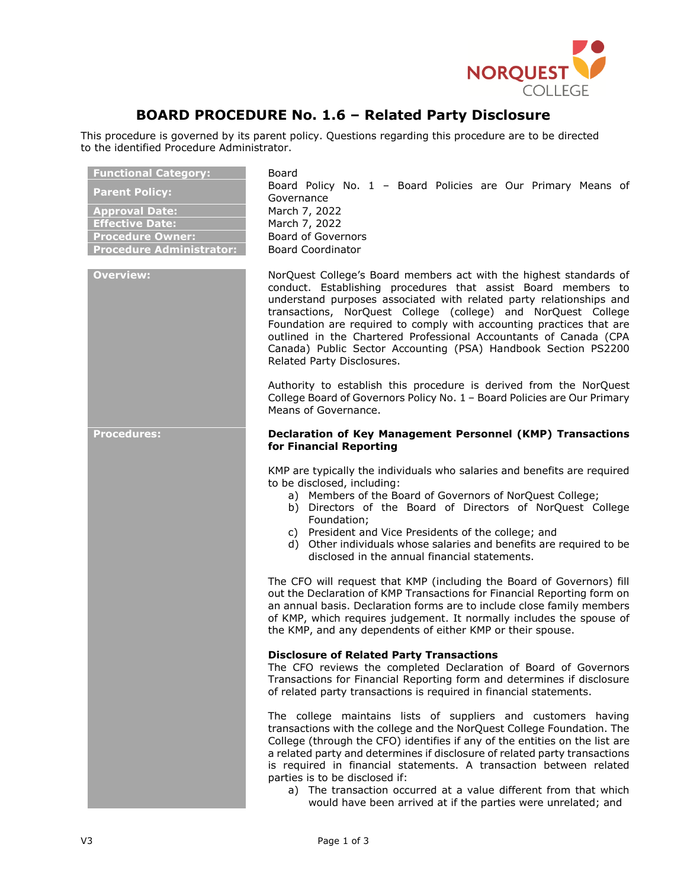

## **BOARD PROCEDURE No. 1.6 – Related Party Disclosure**

This procedure is governed by its parent policy. Questions regarding this procedure are to be directed to the identified Procedure Administrator.

| <b>Functional Category:</b><br><b>Parent Policy:</b><br><b>Approval Date:</b><br><b>Effective Date:</b><br><b>Procedure Owner:</b><br><b>Procedure Administrator:</b> | Board<br>Board Policy No. 1 - Board Policies are Our Primary Means of<br>Governance<br>March 7, 2022<br>March 7, 2022<br><b>Board of Governors</b><br><b>Board Coordinator</b>                                                                                                                                                                                                                                                                                                                                           |
|-----------------------------------------------------------------------------------------------------------------------------------------------------------------------|--------------------------------------------------------------------------------------------------------------------------------------------------------------------------------------------------------------------------------------------------------------------------------------------------------------------------------------------------------------------------------------------------------------------------------------------------------------------------------------------------------------------------|
| <b>Overview:</b>                                                                                                                                                      | NorQuest College's Board members act with the highest standards of<br>conduct. Establishing procedures that assist Board members to<br>understand purposes associated with related party relationships and<br>transactions, NorQuest College (college) and NorQuest College<br>Foundation are required to comply with accounting practices that are<br>outlined in the Chartered Professional Accountants of Canada (CPA<br>Canada) Public Sector Accounting (PSA) Handbook Section PS2200<br>Related Party Disclosures. |
|                                                                                                                                                                       | Authority to establish this procedure is derived from the NorQuest<br>College Board of Governors Policy No. 1 - Board Policies are Our Primary<br>Means of Governance.                                                                                                                                                                                                                                                                                                                                                   |
| <b>Procedures:</b>                                                                                                                                                    | Declaration of Key Management Personnel (KMP) Transactions<br>for Financial Reporting                                                                                                                                                                                                                                                                                                                                                                                                                                    |
|                                                                                                                                                                       | KMP are typically the individuals who salaries and benefits are required<br>to be disclosed, including:<br>a) Members of the Board of Governors of NorQuest College;<br>b) Directors of the Board of Directors of NorQuest College<br>Foundation;<br>c) President and Vice Presidents of the college; and<br>d) Other individuals whose salaries and benefits are required to be<br>disclosed in the annual financial statements.                                                                                        |
|                                                                                                                                                                       | The CFO will request that KMP (including the Board of Governors) fill<br>out the Declaration of KMP Transactions for Financial Reporting form on<br>an annual basis. Declaration forms are to include close family members<br>of KMP, which requires judgement. It normally includes the spouse of<br>the KMP, and any dependents of either KMP or their spouse.                                                                                                                                                         |
|                                                                                                                                                                       | <b>Disclosure of Related Party Transactions</b><br>The CFO reviews the completed Declaration of Board of Governors<br>Transactions for Financial Reporting form and determines if disclosure<br>of related party transactions is required in financial statements.                                                                                                                                                                                                                                                       |
|                                                                                                                                                                       | The college maintains lists of suppliers and customers having<br>transactions with the college and the NorQuest College Foundation. The<br>College (through the CFO) identifies if any of the entities on the list are<br>a related party and determines if disclosure of related party transactions<br>is required in financial statements. A transaction between related<br>parties is to be disclosed if:                                                                                                             |
|                                                                                                                                                                       | a) The transaction occurred at a value different from that which<br>would have been arrived at if the parties were unrelated; and                                                                                                                                                                                                                                                                                                                                                                                        |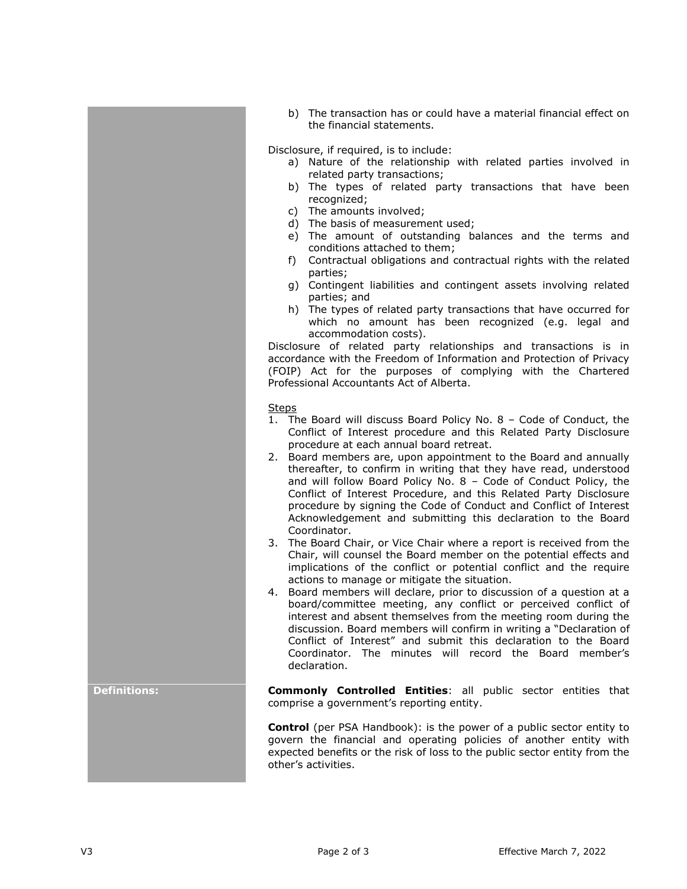b) The transaction has or could have a material financial effect on the financial statements.

Disclosure, if required, is to include:

- a) Nature of the relationship with related parties involved in related party transactions;
- b) The types of related party transactions that have been recognized;
- c) The amounts involved;
- d) The basis of measurement used;
- e) The amount of outstanding balances and the terms and conditions attached to them;
- f) Contractual obligations and contractual rights with the related parties;
- g) Contingent liabilities and contingent assets involving related parties; and
- h) The types of related party transactions that have occurred for which no amount has been recognized (e.g. legal and accommodation costs).

Disclosure of related party relationships and transactions is in accordance with the Freedom of Information and Protection of Privacy (FOIP) Act for the purposes of complying with the Chartered Professional Accountants Act of Alberta.

## **Steps**

- 1. The Board will discuss Board Policy No. 8 Code of Conduct, the Conflict of Interest procedure and this Related Party Disclosure procedure at each annual board retreat.
- 2. Board members are, upon appointment to the Board and annually thereafter, to confirm in writing that they have read, understood and will follow Board Policy No. 8 – Code of Conduct Policy, the Conflict of Interest Procedure, and this Related Party Disclosure procedure by signing the Code of Conduct and Conflict of Interest Acknowledgement and submitting this declaration to the Board Coordinator.
- 3. The Board Chair, or Vice Chair where a report is received from the Chair, will counsel the Board member on the potential effects and implications of the conflict or potential conflict and the require actions to manage or mitigate the situation.
- 4. Board members will declare, prior to discussion of a question at a board/committee meeting, any conflict or perceived conflict of interest and absent themselves from the meeting room during the discussion. Board members will confirm in writing a "Declaration of Conflict of Interest" and submit this declaration to the Board Coordinator. The minutes will record the Board member's declaration.

**Definitions: Commonly Controlled Entities**: all public sector entities that comprise a government's reporting entity.

> **Control** (per PSA Handbook): is the power of a public sector entity to govern the financial and operating policies of another entity with expected benefits or the risk of loss to the public sector entity from the other's activities.